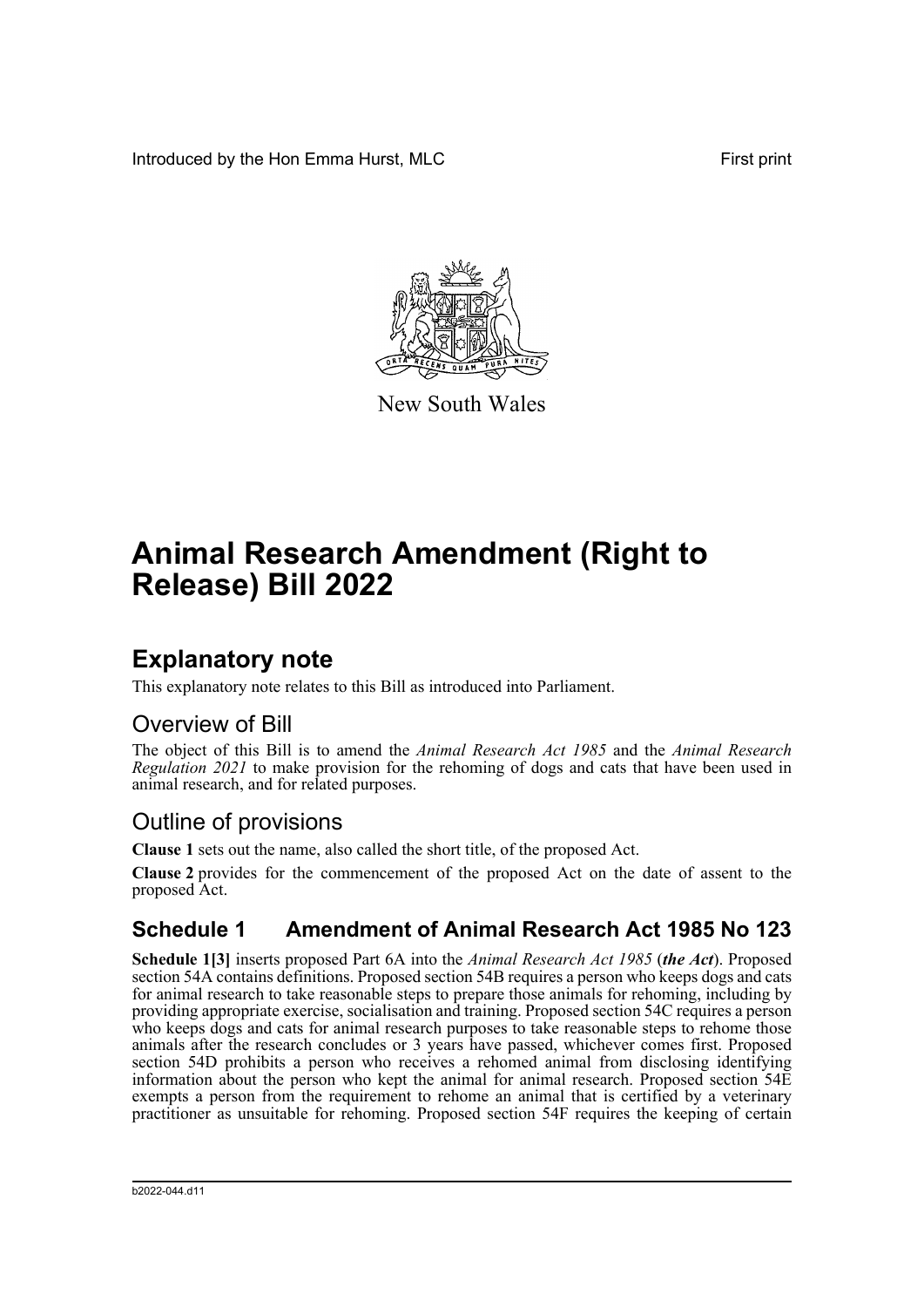Introduced by the Hon Emma Hurst, MLC **First print** 



New South Wales

# **Animal Research Amendment (Right to Release) Bill 2022**

### **Explanatory note**

This explanatory note relates to this Bill as introduced into Parliament.

### Overview of Bill

The object of this Bill is to amend the *Animal Research Act 1985* and the *Animal Research Regulation 2021* to make provision for the rehoming of dogs and cats that have been used in animal research, and for related purposes.

### Outline of provisions

**Clause 1** sets out the name, also called the short title, of the proposed Act.

**Clause 2** provides for the commencement of the proposed Act on the date of assent to the proposed Act.

### **Schedule 1 Amendment of Animal Research Act 1985 No 123**

**Schedule 1[3]** inserts proposed Part 6A into the *Animal Research Act 1985* (*the Act*). Proposed section 54A contains definitions. Proposed section 54B requires a person who keeps dogs and cats for animal research to take reasonable steps to prepare those animals for rehoming, including by providing appropriate exercise, socialisation and training. Proposed section 54C requires a person who keeps dogs and cats for animal research purposes to take reasonable steps to rehome those animals after the research concludes or 3 years have passed, whichever comes first. Proposed section 54D prohibits a person who receives a rehomed animal from disclosing identifying information about the person who kept the animal for animal research. Proposed section 54E exempts a person from the requirement to rehome an animal that is certified by a veterinary practitioner as unsuitable for rehoming. Proposed section 54F requires the keeping of certain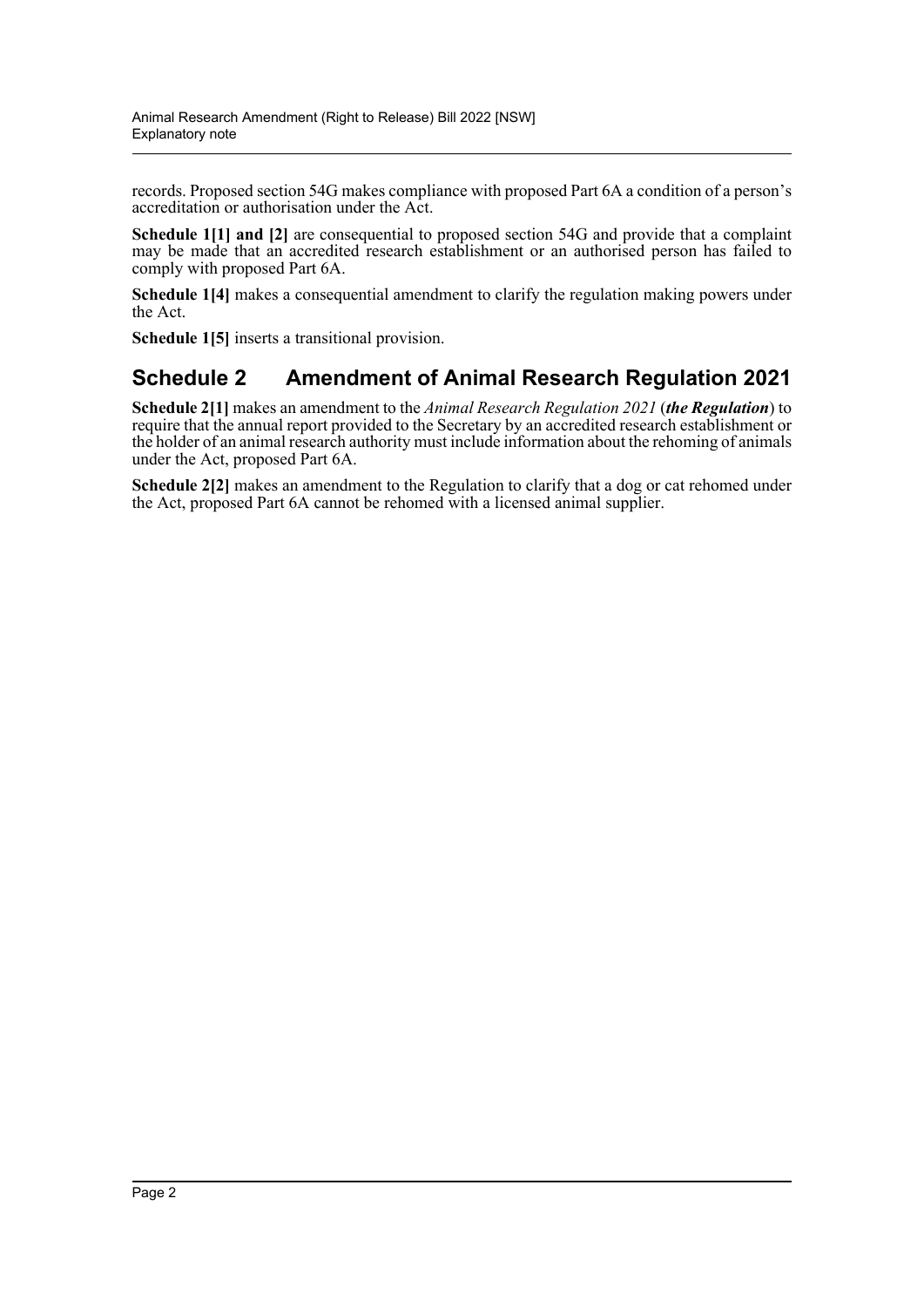records. Proposed section 54G makes compliance with proposed Part 6A a condition of a person's accreditation or authorisation under the Act.

**Schedule 1[1] and [2]** are consequential to proposed section 54G and provide that a complaint may be made that an accredited research establishment or an authorised person has failed to comply with proposed Part 6A.

**Schedule 1[4]** makes a consequential amendment to clarify the regulation making powers under the Act.

**Schedule 1[5]** inserts a transitional provision.

#### **Schedule 2 Amendment of Animal Research Regulation 2021**

**Schedule 2[1]** makes an amendment to the *Animal Research Regulation 2021* (*the Regulation*) to require that the annual report provided to the Secretary by an accredited research establishment or the holder of an animal research authority must include information about the rehoming of animals under the Act, proposed Part 6A.

**Schedule 2[2]** makes an amendment to the Regulation to clarify that a dog or cat rehomed under the Act, proposed Part 6A cannot be rehomed with a licensed animal supplier.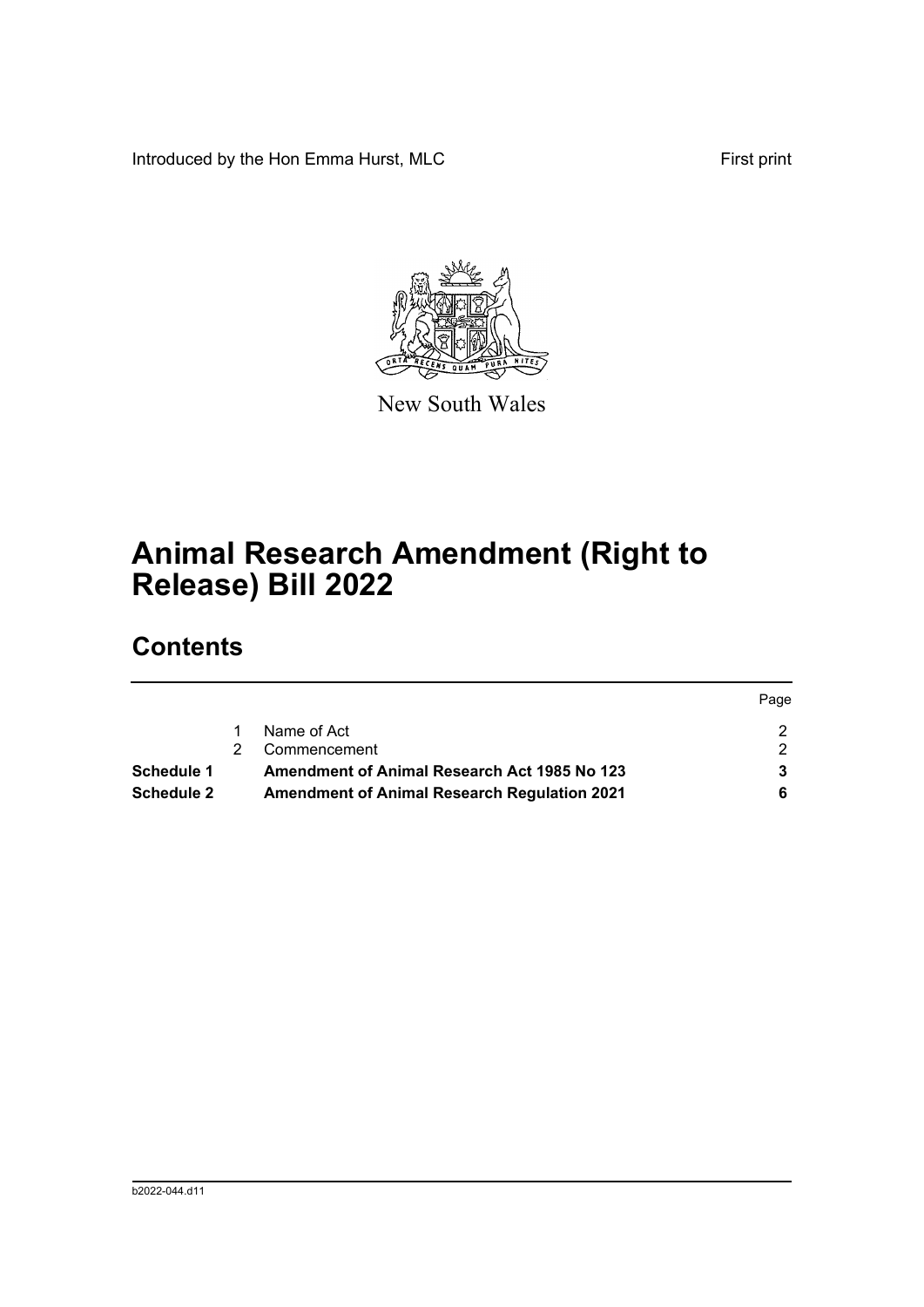Introduced by the Hon Emma Hurst, MLC First print



New South Wales

## **Animal Research Amendment (Right to Release) Bill 2022**

## **Contents**

|                   |                                                     | Page |
|-------------------|-----------------------------------------------------|------|
|                   | Name of Act                                         |      |
|                   | Commencement                                        |      |
| Schedule 1        | <b>Amendment of Animal Research Act 1985 No 123</b> |      |
| <b>Schedule 2</b> | <b>Amendment of Animal Research Regulation 2021</b> |      |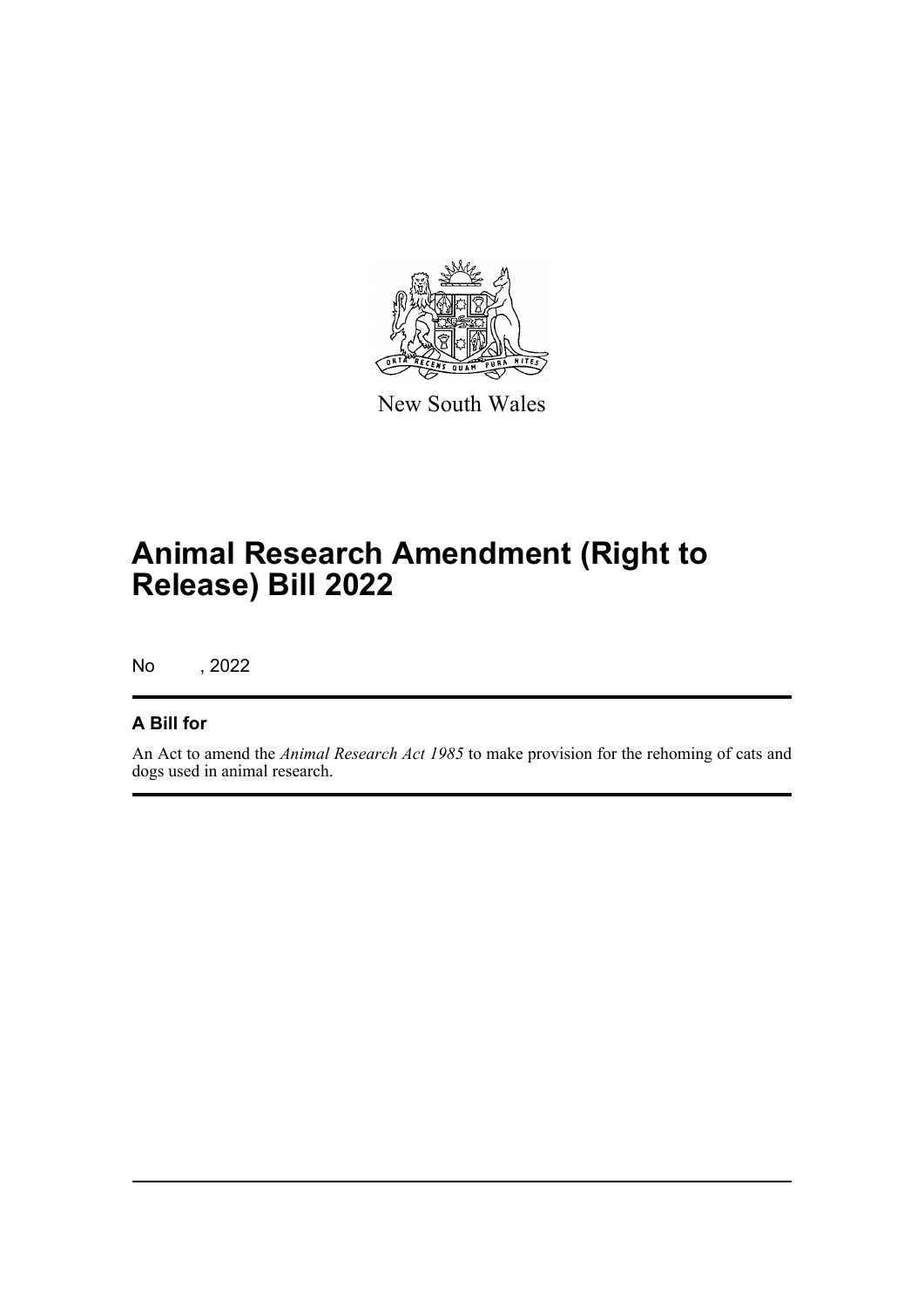

New South Wales

## **Animal Research Amendment (Right to Release) Bill 2022**

No , 2022

#### **A Bill for**

An Act to amend the *Animal Research Act 1985* to make provision for the rehoming of cats and dogs used in animal research.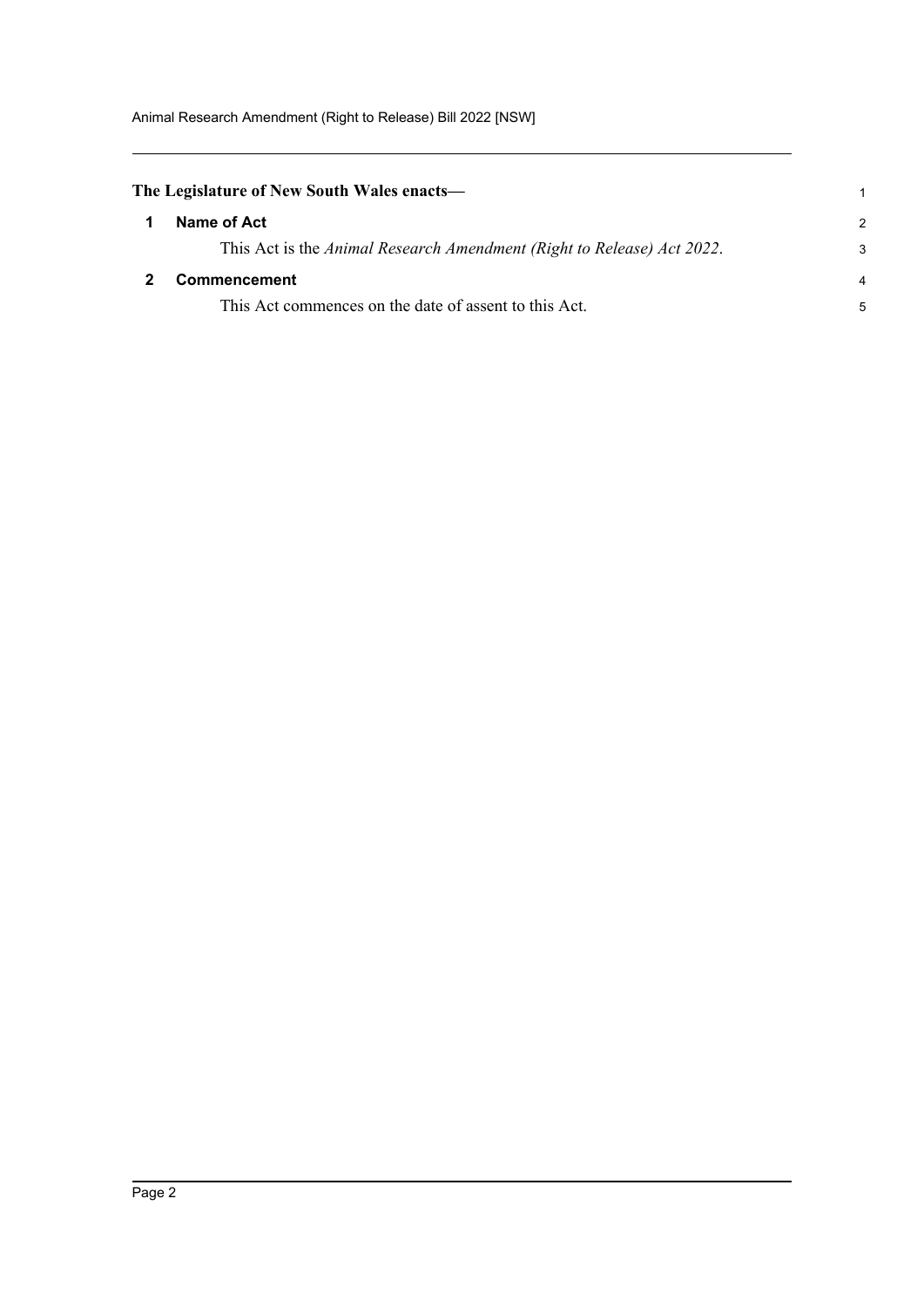<span id="page-4-1"></span><span id="page-4-0"></span>

| The Legislature of New South Wales enacts—                             |                |
|------------------------------------------------------------------------|----------------|
| Name of Act                                                            | $\mathcal{P}$  |
| This Act is the Animal Research Amendment (Right to Release) Act 2022. | 3              |
| <b>Commencement</b>                                                    | $\overline{a}$ |
| This Act commences on the date of assent to this Act.                  | 5              |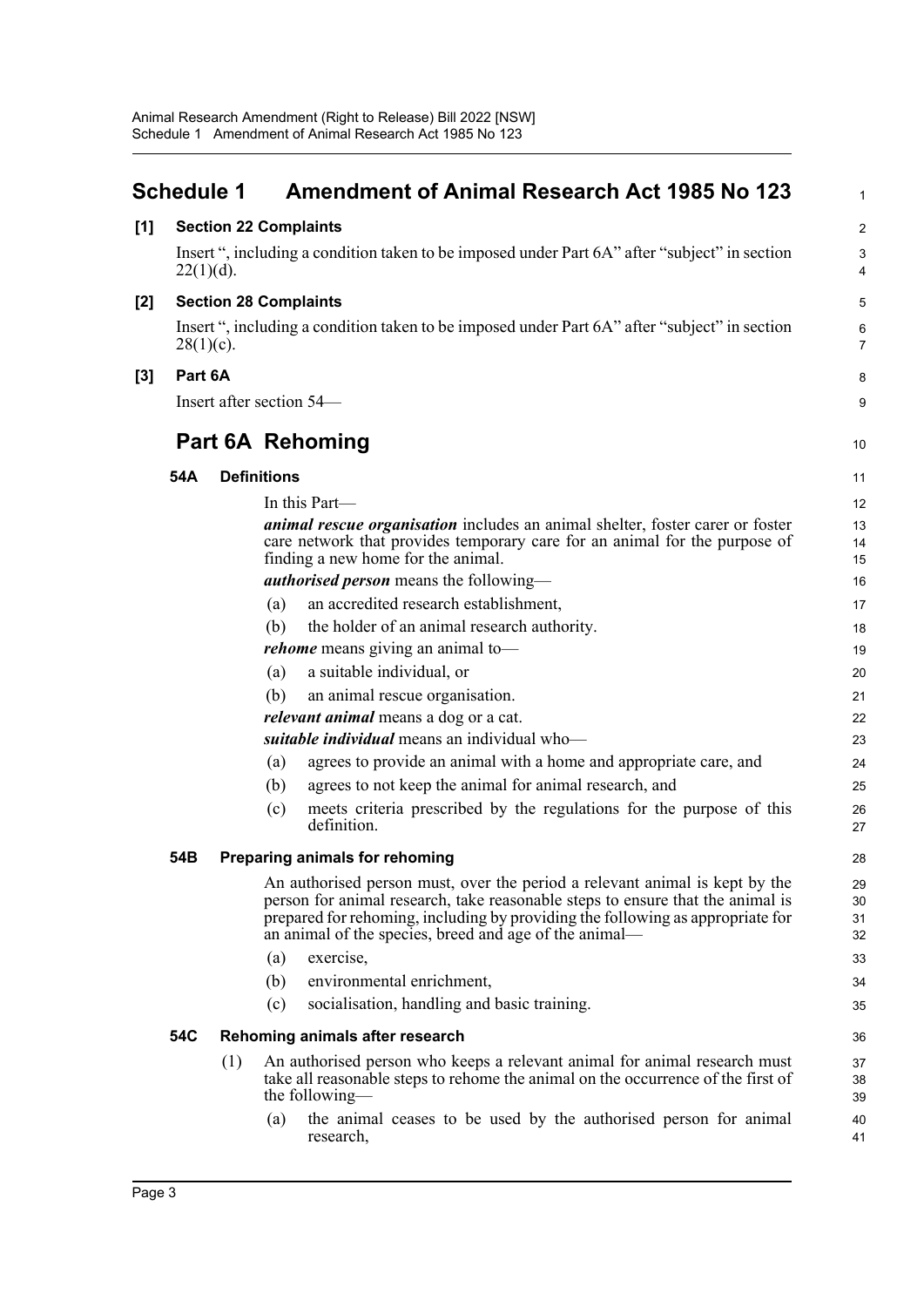<span id="page-5-0"></span>

|       | <b>Schedule 1</b>                                                                                             |                          |                    | <b>Amendment of Animal Research Act 1985 No 123</b>                                                                                                                                                                                                                                                       | $\mathbf{1}$         |  |  |
|-------|---------------------------------------------------------------------------------------------------------------|--------------------------|--------------------|-----------------------------------------------------------------------------------------------------------------------------------------------------------------------------------------------------------------------------------------------------------------------------------------------------------|----------------------|--|--|
| [1]   | <b>Section 22 Complaints</b>                                                                                  |                          |                    |                                                                                                                                                                                                                                                                                                           |                      |  |  |
|       | $22(1)(d)$ .                                                                                                  |                          |                    | Insert ", including a condition taken to be imposed under Part 6A" after "subject" in section                                                                                                                                                                                                             | $\mathsf 3$<br>4     |  |  |
| [2]   | <b>Section 28 Complaints</b>                                                                                  |                          |                    |                                                                                                                                                                                                                                                                                                           |                      |  |  |
|       | Insert ", including a condition taken to be imposed under Part 6A" after "subject" in section<br>$28(1)(c)$ . |                          |                    |                                                                                                                                                                                                                                                                                                           | 6<br>$\overline{7}$  |  |  |
| $[3]$ |                                                                                                               | Part 6A                  |                    |                                                                                                                                                                                                                                                                                                           |                      |  |  |
|       |                                                                                                               | Insert after section 54— |                    |                                                                                                                                                                                                                                                                                                           |                      |  |  |
|       |                                                                                                               |                          |                    | <b>Part 6A Rehoming</b>                                                                                                                                                                                                                                                                                   | 10                   |  |  |
|       | 54A                                                                                                           |                          | <b>Definitions</b> |                                                                                                                                                                                                                                                                                                           | 11                   |  |  |
|       |                                                                                                               |                          |                    | In this Part—                                                                                                                                                                                                                                                                                             | 12                   |  |  |
|       |                                                                                                               |                          |                    | <i>animal rescue organisation</i> includes an animal shelter, foster carer or foster<br>care network that provides temporary care for an animal for the purpose of<br>finding a new home for the animal.                                                                                                  | 13<br>14<br>15       |  |  |
|       |                                                                                                               |                          |                    | <b><i>authorised person</i></b> means the following—                                                                                                                                                                                                                                                      | 16                   |  |  |
|       |                                                                                                               |                          | (a)                | an accredited research establishment,                                                                                                                                                                                                                                                                     | 17                   |  |  |
|       |                                                                                                               |                          | (b)                | the holder of an animal research authority.                                                                                                                                                                                                                                                               | 18                   |  |  |
|       | <i>rehome</i> means giving an animal to-                                                                      |                          | 19                 |                                                                                                                                                                                                                                                                                                           |                      |  |  |
|       |                                                                                                               |                          | (a)                | a suitable individual, or                                                                                                                                                                                                                                                                                 | 20                   |  |  |
|       |                                                                                                               |                          | (b)                | an animal rescue organisation.                                                                                                                                                                                                                                                                            | 21                   |  |  |
|       |                                                                                                               |                          |                    | <i>relevant animal</i> means a dog or a cat.                                                                                                                                                                                                                                                              | 22                   |  |  |
|       |                                                                                                               |                          |                    | suitable individual means an individual who-                                                                                                                                                                                                                                                              | 23                   |  |  |
|       |                                                                                                               |                          | (a)                | agrees to provide an animal with a home and appropriate care, and                                                                                                                                                                                                                                         | 24                   |  |  |
|       |                                                                                                               |                          | (b)                | agrees to not keep the animal for animal research, and                                                                                                                                                                                                                                                    | 25                   |  |  |
|       |                                                                                                               |                          | (c)                | meets criteria prescribed by the regulations for the purpose of this<br>definition.                                                                                                                                                                                                                       | 26<br>27             |  |  |
|       | 54B                                                                                                           |                          |                    | Preparing animals for rehoming                                                                                                                                                                                                                                                                            | 28                   |  |  |
|       |                                                                                                               |                          |                    | An authorised person must, over the period a relevant animal is kept by the<br>person for animal research, take reasonable steps to ensure that the animal is<br>prepared for rehoming, including by providing the following as appropriate for<br>an animal of the species, breed and age of the animal- | 29<br>30<br>31<br>32 |  |  |
|       |                                                                                                               |                          | (a)                | exercise,                                                                                                                                                                                                                                                                                                 | 33                   |  |  |
|       |                                                                                                               |                          | (b)                | environmental enrichment,                                                                                                                                                                                                                                                                                 | 34                   |  |  |
|       |                                                                                                               |                          | (c)                | socialisation, handling and basic training.                                                                                                                                                                                                                                                               | 35                   |  |  |
|       | 54C                                                                                                           |                          |                    | Rehoming animals after research                                                                                                                                                                                                                                                                           | 36                   |  |  |
|       |                                                                                                               | (1)                      |                    | An authorised person who keeps a relevant animal for animal research must<br>take all reasonable steps to rehome the animal on the occurrence of the first of<br>the following—                                                                                                                           | 37<br>38<br>39       |  |  |
|       |                                                                                                               |                          | (a)                | the animal ceases to be used by the authorised person for animal<br>research,                                                                                                                                                                                                                             | 40<br>41             |  |  |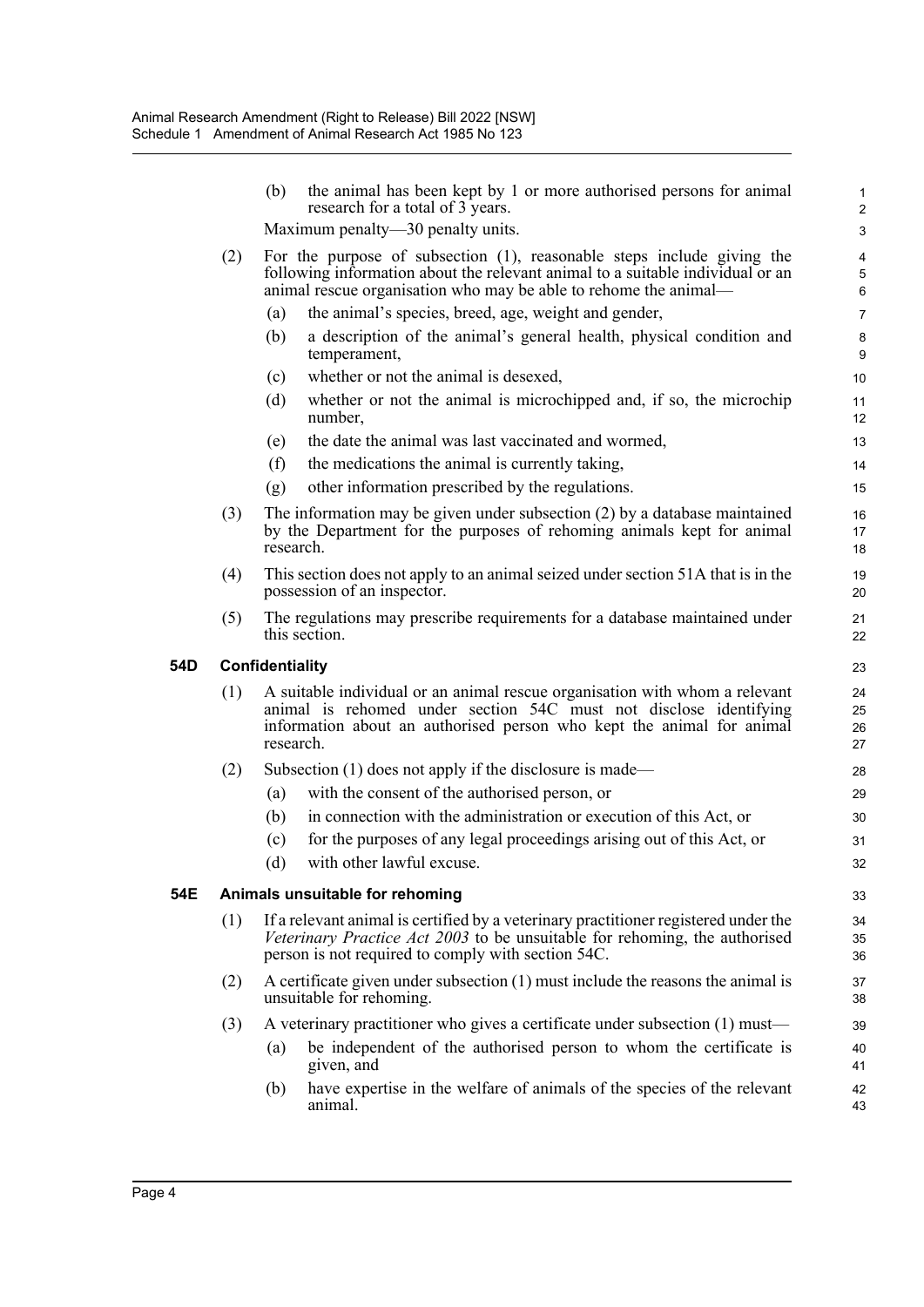|     |     | (b)                                                                                                                                                                                                                                    | the animal has been kept by 1 or more authorised persons for animal<br>research for a total of 3 years.                                                                                                                 | $\mathbf{1}$<br>$\overline{c}$ |  |  |
|-----|-----|----------------------------------------------------------------------------------------------------------------------------------------------------------------------------------------------------------------------------------------|-------------------------------------------------------------------------------------------------------------------------------------------------------------------------------------------------------------------------|--------------------------------|--|--|
|     |     | Maximum penalty—30 penalty units.                                                                                                                                                                                                      |                                                                                                                                                                                                                         |                                |  |  |
|     | (2) | For the purpose of subsection $(1)$ , reasonable steps include giving the<br>following information about the relevant animal to a suitable individual or an<br>animal rescue organisation who may be able to rehome the animal—        |                                                                                                                                                                                                                         |                                |  |  |
|     |     | (a)                                                                                                                                                                                                                                    | the animal's species, breed, age, weight and gender,                                                                                                                                                                    | $\overline{7}$                 |  |  |
|     |     | (b)                                                                                                                                                                                                                                    | a description of the animal's general health, physical condition and<br>temperament,                                                                                                                                    | 8<br>9                         |  |  |
|     |     | (c)                                                                                                                                                                                                                                    | whether or not the animal is desexed,                                                                                                                                                                                   | 10                             |  |  |
|     |     | (d)                                                                                                                                                                                                                                    | whether or not the animal is microchipped and, if so, the microchip<br>number,                                                                                                                                          | 11<br>12                       |  |  |
|     |     | (e)                                                                                                                                                                                                                                    | the date the animal was last vaccinated and wormed,                                                                                                                                                                     | 13                             |  |  |
|     |     | (f)                                                                                                                                                                                                                                    | the medications the animal is currently taking,                                                                                                                                                                         | 14                             |  |  |
|     |     | (g)                                                                                                                                                                                                                                    | other information prescribed by the regulations.                                                                                                                                                                        | 15                             |  |  |
|     | (3) | research.                                                                                                                                                                                                                              | The information may be given under subsection $(2)$ by a database maintained<br>by the Department for the purposes of rehoming animals kept for animal                                                                  | 16<br>17<br>18                 |  |  |
|     | (4) |                                                                                                                                                                                                                                        | This section does not apply to an animal seized under section 51A that is in the<br>possession of an inspector.                                                                                                         | 19<br>20                       |  |  |
|     | (5) |                                                                                                                                                                                                                                        | The regulations may prescribe requirements for a database maintained under<br>this section.                                                                                                                             | 21<br>22                       |  |  |
| 54D |     | Confidentiality                                                                                                                                                                                                                        |                                                                                                                                                                                                                         |                                |  |  |
|     | (1) | A suitable individual or an animal rescue organisation with whom a relevant<br>animal is rehomed under section 54C must not disclose identifying<br>information about an authorised person who kept the animal for animal<br>research. |                                                                                                                                                                                                                         |                                |  |  |
|     | (2) |                                                                                                                                                                                                                                        | Subsection $(1)$ does not apply if the disclosure is made—                                                                                                                                                              | 28                             |  |  |
|     |     |                                                                                                                                                                                                                                        |                                                                                                                                                                                                                         |                                |  |  |
|     |     | (a)                                                                                                                                                                                                                                    | with the consent of the authorised person, or                                                                                                                                                                           | 29                             |  |  |
|     |     | (b)                                                                                                                                                                                                                                    | in connection with the administration or execution of this Act, or                                                                                                                                                      | 30                             |  |  |
|     |     | (c)                                                                                                                                                                                                                                    | for the purposes of any legal proceedings arising out of this Act, or                                                                                                                                                   | 31                             |  |  |
|     |     | (d)                                                                                                                                                                                                                                    | with other lawful excuse.                                                                                                                                                                                               | 32                             |  |  |
| 54E |     |                                                                                                                                                                                                                                        | Animals unsuitable for rehoming                                                                                                                                                                                         | 33                             |  |  |
|     | (1) |                                                                                                                                                                                                                                        | If a relevant animal is certified by a veterinary practitioner registered under the<br>Veterinary Practice Act 2003 to be unsuitable for rehoming, the authorised<br>person is not required to comply with section 54C. | 34<br>35<br>36                 |  |  |
|     | (2) |                                                                                                                                                                                                                                        | A certificate given under subsection $(1)$ must include the reasons the animal is<br>unsuitable for rehoming.                                                                                                           | 37<br>38                       |  |  |
|     | (3) |                                                                                                                                                                                                                                        | A veterinary practitioner who gives a certificate under subsection (1) must—                                                                                                                                            | 39                             |  |  |
|     |     | (a)                                                                                                                                                                                                                                    | be independent of the authorised person to whom the certificate is<br>given, and                                                                                                                                        | 40<br>41                       |  |  |
|     |     | (b)                                                                                                                                                                                                                                    | have expertise in the welfare of animals of the species of the relevant<br>animal.                                                                                                                                      | 42<br>43                       |  |  |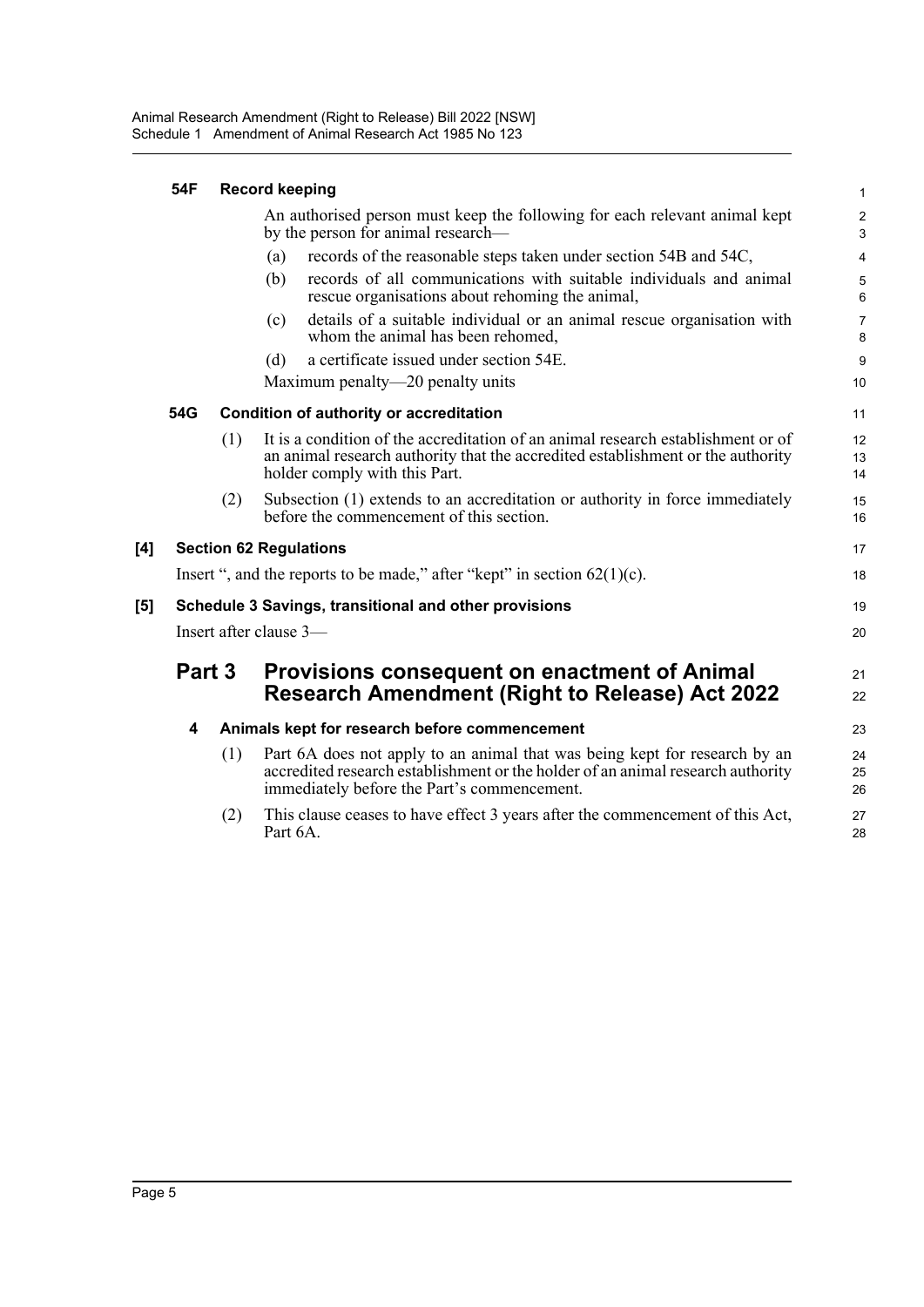|                     | 54F                                                                 |     | <b>Record keeping</b>                                                                                                                                                                                        | $\mathbf{1}$        |  |
|---------------------|---------------------------------------------------------------------|-----|--------------------------------------------------------------------------------------------------------------------------------------------------------------------------------------------------------------|---------------------|--|
|                     |                                                                     |     | An authorised person must keep the following for each relevant animal kept<br>by the person for animal research—                                                                                             | $\sqrt{2}$<br>3     |  |
|                     |                                                                     |     | records of the reasonable steps taken under section 54B and 54C,<br>(a)                                                                                                                                      | 4                   |  |
|                     |                                                                     |     | records of all communications with suitable individuals and animal<br>(b)<br>rescue organisations about rehoming the animal,                                                                                 | 5<br>6              |  |
|                     |                                                                     |     | details of a suitable individual or an animal rescue organisation with<br>(c)<br>whom the animal has been rehomed,                                                                                           | $\overline{7}$<br>8 |  |
|                     |                                                                     |     | a certificate issued under section 54E.<br>(d)                                                                                                                                                               | $\boldsymbol{9}$    |  |
|                     |                                                                     |     | Maximum penalty—20 penalty units                                                                                                                                                                             | 10                  |  |
|                     | 54G                                                                 |     | <b>Condition of authority or accreditation</b>                                                                                                                                                               | 11                  |  |
|                     |                                                                     | (1) | It is a condition of the accreditation of an animal research establishment or of<br>an animal research authority that the accredited establishment or the authority<br>holder comply with this Part.         | 12<br>13<br>14      |  |
|                     |                                                                     | (2) | Subsection (1) extends to an accreditation or authority in force immediately<br>before the commencement of this section.                                                                                     | 15<br>16            |  |
| [4]                 |                                                                     |     | <b>Section 62 Regulations</b>                                                                                                                                                                                | 17                  |  |
|                     |                                                                     |     | Insert ", and the reports to be made," after "kept" in section $62(1)(c)$ .                                                                                                                                  | 18                  |  |
| $\lbrack 5 \rbrack$ |                                                                     |     | Schedule 3 Savings, transitional and other provisions                                                                                                                                                        | 19                  |  |
|                     | Insert after clause 3-                                              |     |                                                                                                                                                                                                              | 20                  |  |
|                     | Part 3<br><b>Provisions consequent on enactment of Animal</b><br>21 |     |                                                                                                                                                                                                              |                     |  |
|                     |                                                                     |     | <b>Research Amendment (Right to Release) Act 2022</b>                                                                                                                                                        | 22                  |  |
|                     | 4                                                                   |     | Animals kept for research before commencement                                                                                                                                                                | 23                  |  |
|                     |                                                                     | (1) | Part 6A does not apply to an animal that was being kept for research by an<br>accredited research establishment or the holder of an animal research authority<br>immediately before the Part's commencement. | 24<br>25<br>26      |  |
|                     |                                                                     | (2) | This clause ceases to have effect 3 years after the commencement of this Act,<br>Part 6A.                                                                                                                    | 27<br>28            |  |
|                     |                                                                     |     |                                                                                                                                                                                                              |                     |  |

 $[4]$